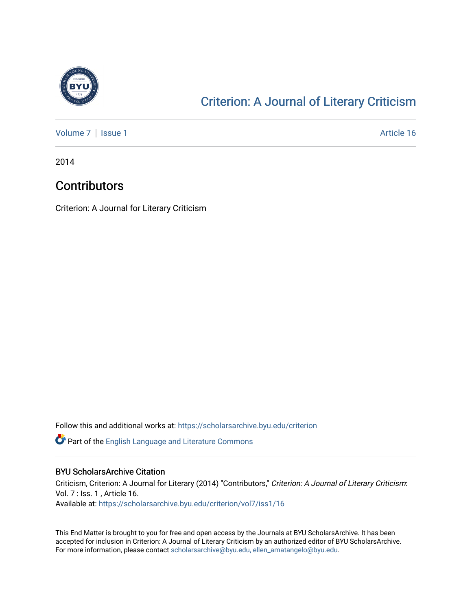

## [Criterion: A Journal of Literary Criticism](https://scholarsarchive.byu.edu/criterion)

[Volume 7](https://scholarsarchive.byu.edu/criterion/vol7) | [Issue 1](https://scholarsarchive.byu.edu/criterion/vol7/iss1) Article 16

2014

## **Contributors**

Criterion: A Journal for Literary Criticism

Follow this and additional works at: [https://scholarsarchive.byu.edu/criterion](https://scholarsarchive.byu.edu/criterion?utm_source=scholarsarchive.byu.edu%2Fcriterion%2Fvol7%2Fiss1%2F16&utm_medium=PDF&utm_campaign=PDFCoverPages) 

**P** Part of the [English Language and Literature Commons](http://network.bepress.com/hgg/discipline/455?utm_source=scholarsarchive.byu.edu%2Fcriterion%2Fvol7%2Fiss1%2F16&utm_medium=PDF&utm_campaign=PDFCoverPages)

## BYU ScholarsArchive Citation

Criticism, Criterion: A Journal for Literary (2014) "Contributors," Criterion: A Journal of Literary Criticism: Vol. 7 : Iss. 1 , Article 16. Available at: [https://scholarsarchive.byu.edu/criterion/vol7/iss1/16](https://scholarsarchive.byu.edu/criterion/vol7/iss1/16?utm_source=scholarsarchive.byu.edu%2Fcriterion%2Fvol7%2Fiss1%2F16&utm_medium=PDF&utm_campaign=PDFCoverPages)

This End Matter is brought to you for free and open access by the Journals at BYU ScholarsArchive. It has been accepted for inclusion in Criterion: A Journal of Literary Criticism by an authorized editor of BYU ScholarsArchive. For more information, please contact [scholarsarchive@byu.edu, ellen\\_amatangelo@byu.edu](mailto:scholarsarchive@byu.edu,%20ellen_amatangelo@byu.edu).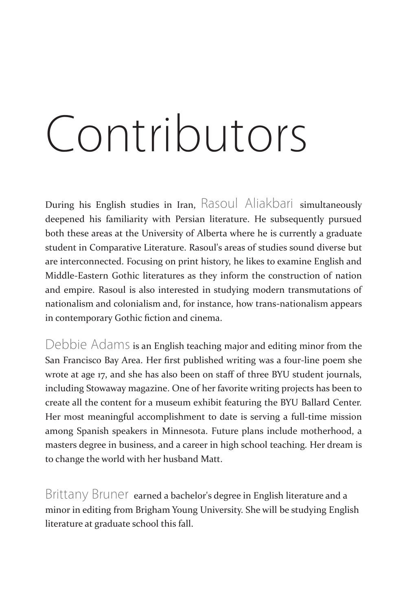## Contributors

During his English studies in Iran, Rasoul Aliakbari simultaneously deepened his familiarity with Persian literature. He subsequently pursued both these areas at the University of Alberta where he is currently a graduate student in Comparative Literature. Rasoul's areas of studies sound diverse but are interconnected. Focusing on print history, he likes to examine English and Middle-Eastern Gothic literatures as they inform the construction of nation and empire. Rasoul is also interested in studying modern transmutations of nationalism and colonialism and, for instance, how trans-nationalism appears in contemporary Gothic fiction and cinema.

Debbie Adams is an English teaching major and editing minor from the San Francisco Bay Area. Her first published writing was a four-line poem she wrote at age 17, and she has also been on staff of three BYU student journals, including Stowaway magazine. One of her favorite writing projects has been to create all the content for a museum exhibit featuring the BYU Ballard Center. Her most meaningful accomplishment to date is serving a full-time mission among Spanish speakers in Minnesota. Future plans include motherhood, a masters degree in business, and a career in high school teaching. Her dream is to change the world with her husband Matt.

Brittany Bruner earned a bachelor's degree in English literature and a minor in editing from Brigham Young University. She will be studying English literature at graduate school this fall.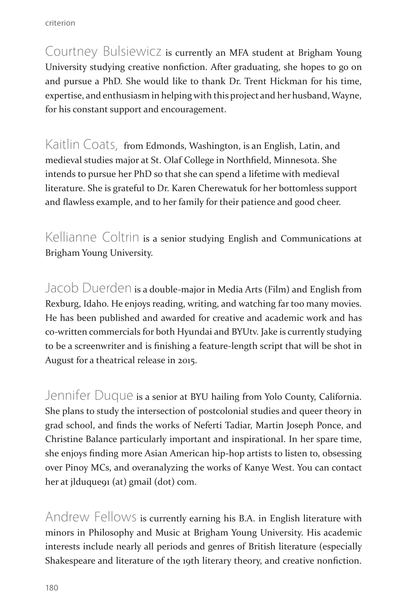Courtney Bulsiewicz is currently an MFA student at Brigham Young University studying creative nonfiction. After graduating, she hopes to go on and pursue a PhD. She would like to thank Dr. Trent Hickman for his time, expertise, and enthusiasm in helping with this project and her husband, Wayne, for his constant support and encouragement.

Kaitlin Coats, from Edmonds, Washington, is an English, Latin, and medieval studies major at St. Olaf College in Northfield, Minnesota. She intends to pursue her PhD so that she can spend a lifetime with medieval literature. She is grateful to Dr. Karen Cherewatuk for her bottomless support and flawless example, and to her family for their patience and good cheer.

Kellianne Coltrin is a senior studying English and Communications at Brigham Young University.

Jacob Duerden is a double-major in Media Arts (Film) and English from Rexburg, Idaho. He enjoys reading, writing, and watching far too many movies. He has been published and awarded for creative and academic work and has co-written commercials for both Hyundai and BYUtv. Jake is currently studying to be a screenwriter and is finishing a feature-length script that will be shot in August for a theatrical release in 2015.

Jennifer Duque is a senior at BYU hailing from Yolo County, California. She plans to study the intersection of postcolonial studies and queer theory in grad school, and finds the works of Neferti Tadiar, Martin Joseph Ponce, and Christine Balance particularly important and inspirational. In her spare time, she enjoys finding more Asian American hip-hop artists to listen to, obsessing over Pinoy MCs, and overanalyzing the works of Kanye West. You can contact her at jlduque91 (at) gmail (dot) com.

Andrew Fellows is currently earning his B.A. in English literature with minors in Philosophy and Music at Brigham Young University. His academic interests include nearly all periods and genres of British literature (especially Shakespeare and literature of the 19th literary theory, and creative nonfiction.